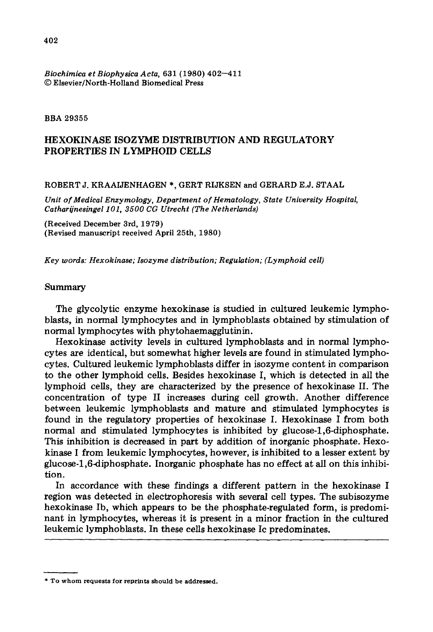### *Biochimica et Biophysica Acta,* 631 (1980) 402--411 © Elsevier/North-Holland Biomedical Press

### BBA 29355

# HEXOKINASE ISOZYME DISTRIBUTION AND REGULATORY PROPERTIES IN LYMPHOID CELLS

#### ROBERT J. KRAAIJENHAGEN \*, GERT RIJKSEN and GERARD E.J. STAAL

*Unit of Medical Enzymology, Department of Hematology, State University Hospital,*  Catharijnesingel 101, 3500 CG Utrecht (The Netherlands)

(Received December 3rd, 1979) (Revised manuscript received April 25th, 1980)

*Key words: Hexokinase; Isozyme distribution; Regulation; (Lymphoid cell)* 

## Summary

The glycolytic enzyme hexokinase is studied in cultured leukemic lymphoblasts, in normal lymphocytes and in lymphoblasts obtained by stimulation of normal lymphocytes with phytohaemagglutinin.

Hexokinase activity levels in cultured lymphoblasts and in normal lymphocytes are identical, but somewhat higher levels are found in stimulated lymphocytes. Cultured leukemic lymphoblasts differ in isozyme content in comparison to the other lymphoid cells. Besides hexokinase I, which is detected in all the lymphoid cells, they are characterized by the presence of hexokinase II. The concentration of type II increases during cell growth. Another difference between leukemic lymphoblasts and mature and stimulated lymphocytes is found in the regulatory properties of hexokinase I. Hexokinase I from both normal and stimulated lymphocytes is inhibited by glucose-l,6-diphosphate. This inhibition is decreased in part by addition of inorganic phosphate. Hexokinase I from leukemic lymphocytes, however, is inhibited to a lesser extent by glucose-l,6-diphosphate. Inorganic phosphate has no effect at all on this inhibition.

In accordance with these findings a different pattern in the hexokinase I region was detected in electrophoresis with several cell types. The subisozyme hexokinase Ib, which appears to be the phosphate-regulated form, is predominant in lymphocytes, whereas it is present in a minor fraction in the cultured leukemic lymphoblasts. In these cells hexokinase Ic predominates.

<sup>\*</sup> To whom **requests for** reprints should be addressed.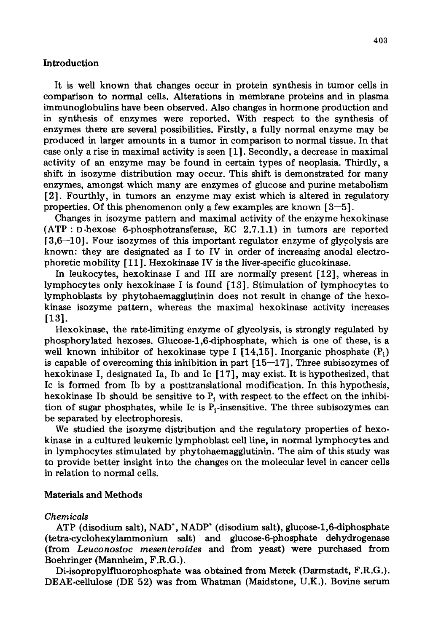## Introduction

It is well known that changes occur in protein synthesis in tumor cells in comparison to normal cells. Alterations in membrane proteins and in plasma immunoglobulins have been observed. Also changes in hormone production and in synthesis of enzymes were reported. With respect to the synthesis of enzymes there are several possibilities. Firstly, a fully normal enzyme may be produced in larger amounts in a tumor in comparison to normal tissue. In that case only a rise in maximal activity is seen [1]. Secondly, a decrease in maximal activity of an enzyme may be found in certain types of neoplasia. Thirdly, a shift in isozyme distribution may occur. This shift is demonstrated for many enzymes, amongst which many are enzymes of glucose and purine metabolism [2]. Fourthly, in tumors an enzyme may exist which is altered in regulatory properties. Of this phenomenon only a few examples are known  $[3-5]$ .

Changes in isozyme pattern and maximal activity of the enzyme hexokinase  $(ATP: D-hexose 6-phosphotransferase, EC 2.7.1.1)$  in tumors are reported  $[3,6-10]$ . Four isozymes of this important regulator enzyme of glycolysis are known: they are designated as I to IV in order of increasing anodal electrophoretic mobility [ 11]. Hexokinase IV is the liver-specific glucokinase.

In leukocytes, hexokinase I and III are normally present [12], whereas in lymphocytes only hexokinase I is found [13]. Stimulation of lymphocytes to lymphoblasts by phytohaemagglutinin does not result in change of the hexokinase isozyme pattern, whereas the maximal hexokinase activity increases [13].

Hexokinase, the rate-limiting enzyme of glycolysis, is strongly regulated by phosphorylated hexoses. Glucose-1,6-diphosphate, which is one of these, is a well known inhibitor of hexokinase type I [14,15]. Inorganic phosphate  $(P_i)$ is capable of overcoming this inhibition in part  $[15-17]$ . Three subisozymes of hexokinase I, designated Ia, Ib and Ic [17], may exist. It is hypothesized, that Ic is formed from Ib by a posttranslational modification. In this hypothesis, hexokinase Ib should be sensitive to  $P_i$  with respect to the effect on the inhibition of sugar phosphates, while Ic is  $P_i$ -insensitive. The three subisozymes can be separated by electrophoresis.

We studied the isozyme distribution and the regulatory properties of hexokinase in a cultured leukemic lymphoblast cell line, in normal lymphocytes and in lymphocytes stimulated by phytohaemagglutinin. The aim of this study was to provide better insight into the changes on the molecular level in cancer cells in relation to normal cells.

## Materials and Methods

## *Chemicals*

ATP (disodium salt), NAD<sup>+</sup>, NADP<sup>+</sup> (disodium salt), glucose-1,6-diphosphate (tetra-cyclohexylammonium salt):and glucose-6-phosphate dehydrogenase (from *Leuconostoc mesenteroides* and from yeast) were purchased from Boehringer (Mannheim, F.R.G.).

Di-isopropylfluorophosphate was obtained from Merck (Darmstadt, F.R.G.). DEAE-cellulose (DE 52) was from Whatman (Maidstone, U.K.). Bovine serum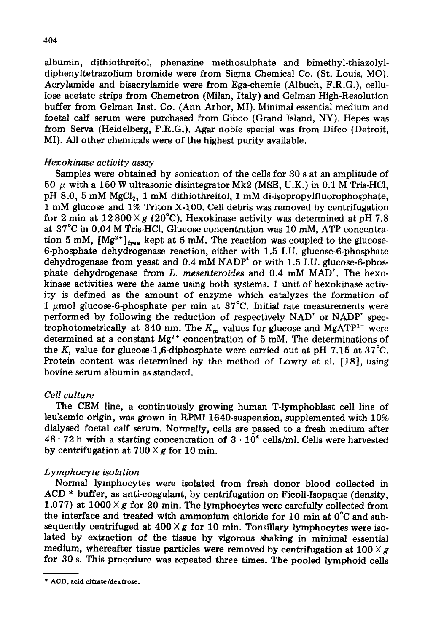albumin, dithiothreitol, phenazine methosulphate and bimethyl-thiazolyldiphenyltetrazolium bromide were from Sigma Chemical Co. (St. Louis, MO). Acrylamide and bisacrylamide were from Ega-chemie (Albuch, F.R.G.), cellulose acetate strips from Chemetron (Milan, Italy) and Gelman High-Resolution buffer from Gelman Inst. Co. (Ann Arbor, MI). Minimal essential medium and foetal calf serum were purchased from Gibco (Grand Island, NY). Hepes was from Serva (Heidelberg, F.R.G.). Agar noble special was from Difco (Detroit, MI). All other chemicals were of the highest purity available.

# *Hexokinase activity assay*

Samples were obtained by sonication of the cells for 30 s at an amplitude of 50  $\mu$  with a 150 W ultrasonic disintegrator Mk2 (MSE, U.K.) in 0.1 M Tris-HCl, pH 8.0, 5 mM MgCl<sub>2</sub>, 1 mM dithiothreitol, 1 mM di-isopropylfluorophosphate, 1 mM glucose and 1% Triton X-100. Cell debris was removed by centrifugation for 2 min at  $12800 \times g$  (20°C). Hexokinase activity was determined at pH 7.8 at 37°C in 0.04 M Tris-HC1. Glucose concentration was 10 mM, ATP concentration 5 mM,  $[Mg^{2+}]_{free}$  kept at 5 mM. The reaction was coupled to the glucose-6-phosphate dehydrogenase reaction, either with 1.5 I.U. glucose-6-phosphate dehydrogenase from yeast and 0.4 mM NADP<sup>+</sup> or with 1.5 I.U. glucose-6-phosphate dehydrogenase from *L. mesenteroides* and 0.4 mM MAD\*. The hexokinase activities were the same using both systems. 1 unit of hexokinase activity is defined as the amount of enzyme which catalyzes the formation of 1  $\mu$ mol glucose-6-phosphate per min at 37°C. Initial rate measurements were performed by following the reduction of respectively  $NAD^+$  or  $NAD^+$  spectrophotometrically at 340 nm. The  $K_m$  values for glucose and MgATP<sup>2-</sup> were determined at a constant Mg<sup>2+</sup> concentration of 5 mM. The determinations of the K<sub>i</sub> value for glucose-1,6-diphosphate were carried out at pH 7.15 at 37°C. Protein content was determined by the method of Lowry et al. [18], using bovine serum albumin as standard.

# *Cell culture*

The CEM line, a continuously growing human T-lymphoblast cell line of leukemic origin, was grown in RPMI 1640-suspension, supplemented with 10% dialysed foetal calf serum. Normally, cells are passed to a fresh medium after  $48-72$  h with a starting concentration of  $3 \cdot 10^5$  cells/ml. Cells were harvested by centrifugation at  $700 \times g$  for 10 min.

# *Lymphocyte isolation*

Normal lymphocytes were isolated from fresh donor blood collected in  $ACD$  \* buffer, as anti-coagulant, by centrifugation on Ficoll-Isopaque (density, 1.077) at  $1000 \times g$  for 20 min. The lymphocytes were carefully collected from the interface and treated with ammonium chloride for 10 min at 0°C and subsequently centrifuged at  $400 \times g$  for 10 min. Tonsillary lymphocytes were isolated by extraction of the tissue by vigorous shaking in minimal essential medium, whereafter tissue particles were removed by centrifugation at  $100 \times g$ for 30 s. This procedure was repeated three times. The pooled lymphoid cells

<sup>\*</sup> **ACD, acid** citrate/dextrose.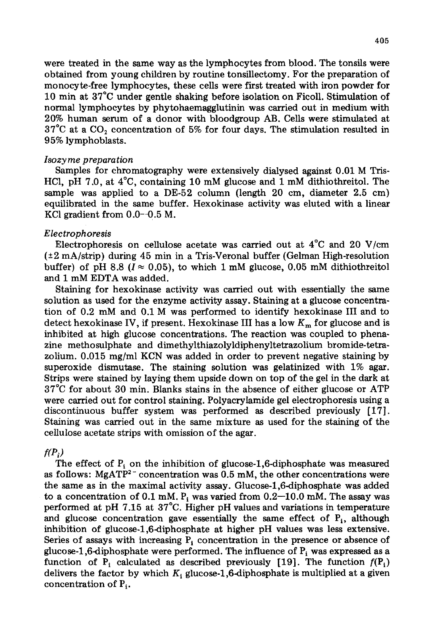were treated in the same way as the lymphocytes from blood. The tonsils were obtained from young children by routine tonsillectomy. For the preparation of monocyte-free lymphocytes, these cells were first treated with iron powder for 10 min at 37°C under gentle shaking before isolation on Ficoll. Stimulation of normal lymphocytes by phytohaemagglutinin was carried out in medium with 20% human serum of a donor with bloodgroup AB. Cells were stimulated at  $37^{\circ}$ C at a CO<sub>2</sub> concentration of 5% for four days. The stimulation resulted in 95% lymphoblasts.

# *Isozy me p reparation*

Samples for chromatography were extensively dialysed against 0.01 M Tris-HC1, pH 7.0, at 4°C, containing 10 mM glucose and 1 mM dithiothreitol. The sample was applied to a DE-52 column (length 20 cm, diameter 2.5 cm) equilibrated in the same buffer. Hexokinase activity was eluted with a linear KCI gradient from 0.0--0.5 M.

# *Electrophoresis*

Electrophoresis on cellulose acetate was carried out at 4°C and 20 V/cm (+2 mA/strip) during 45 min in a Tris-Veronal buffer (Gelman High-resolution buffer) of pH 8.8 ( $I \approx 0.05$ ), to which 1 mM glucose, 0.05 mM dithiothreitol and 1 mM EDTA was added.

Staining for hexokinase activity was carried out with essentially the same solution as used for the enzyme activity assay. Staining at a glucose concentration of 0.2 mM and 0.1 M was performed to identify hexokinase III and to detect hexokinase IV, if present. Hexokinase III has a low  $K<sub>m</sub>$  for glucose and is inhibited at high glucose concentrations. The reaction was coupled to phenazine methosulphate and dimethylthiazolyldiphenyltetrazolium bromide-tetrazolium.  $0.015$  mg/ml KCN was added in order to prevent negative staining by superoxide dismutase. The staining solution was gelatinized with 1% agar. Strips were stained by laying them upside down on top of the gel in the dark at 37°C for about 30 min. Blanks stains in the absence of either glucose or ATP were carried out for control staining. Polyacrylamide gel electrophoresis using a discontinuous buffer system was performed as described previously [17]. Staining was carried out in the same mixture as used for the staining of the cellulose acetate strips with omission of the agar.

# $f(P_i)$

The effect of  $P_i$  on the inhibition of glucose-1,6-diphosphate was measured as follows: MgATP<sup>2-</sup> concentration was 0.5 mM, the other concentrations were the same as in the maximal activity assay. Glucose-l,6-diphosphate was added to a concentration of 0.1 mM. P<sub>i</sub> was varied from  $0.2-10.0$  mM. The assay was performed at pH 7.15 at 37°C. Higher pH values and variations in temperature and glucose concentration gave essentially the same effect of  $P_i$ , although inhibition of glucose-l,6-diphosphate at higher pH values was less extensive. Series of assays with increasing  $P_i$  concentration in the presence or absence of glucose-1,6-diphosphate were performed. The influence of  $P_i$  was expressed as a function of  $P_i$  calculated as described previously [19]. The function  $f(P_i)$ delivers the factor by which  $K_i$  glucose-1,6-diphosphate is multiplied at a given concentration of  $P_i$ .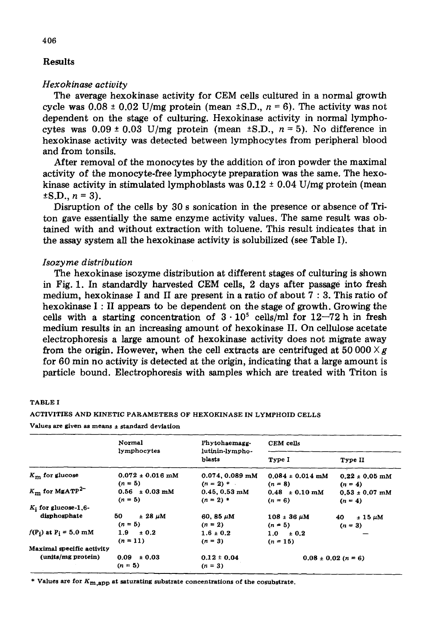# **Results**

## *Hexokinase activity*

**The average hexokinase activity for CEM cells cultured in a normal growth**  cycle was  $0.08 \pm 0.02$  U/mg protein (mean  $\pm$ S.D.,  $n = 6$ ). The activity was not **dependent on the stage of culturing. Hexokinase activity in normal lympho**cytes was  $0.09 \pm 0.03$  U/mg protein (mean  $\pm$ S.D.,  $n = 5$ ). No difference in **hexokinase activity was detected between lymphocytes from peripheral blood and from tonsils.** 

**After removal of the monocytes by the addition of iron powder the maximal activity of the monocyte-free lymphocyte preparation was the same, The hexo**kinase activity in stimulated lymphoblasts was  $0.12 \pm 0.04$  U/mg protein (mean  $\pm$ S.D.,  $n = 3$ ).

**Disruption of the cells by 30 s sonication in the presence or absence of Triton gave essentially the same enzyme activity values. The same result was obtained with and without extraction with toluene. This result indicates that in the assay system all the hexokinase activity is solubflized (see Table I).** 

## *Isozyme distribution*

**The hexokinase isozyme distribution at different stages of culturing is shown in Fig. 1. In standardly harvested GEM cells, 2 days after passage into fresh medium, hexokinase I and II are present in a ratio of about 7 : 3. This ratio of hexokinase I : II appears to be dependent on the stage of growth. Growing the**  cells with a starting concentration of  $3 \cdot 10^5$  cells/ml for  $12-72$  h in fresh **medium results in an increasing amount of hexokinase II. On cellulose acetate electrophoresis a large amount of hexokinase activity does not migrate away**  from the origin. However, when the cell extracts are centrifuged at  $50\,000 \times g$ **for 60 min no activity is detected at the origin, indicating that a large amount is particle bound. Electrophoresis with samples which are treated with Triton is** 

|                                     | Normal                     | Phytohaemagg-             | CEM cells               |                        |
|-------------------------------------|----------------------------|---------------------------|-------------------------|------------------------|
|                                     | lymphocytes                | lutinin-lympho-<br>blasts | Type I                  | Type II                |
| $K_{\rm m}$ for glucose             | $0.072 \pm 0.016$ mM       | $0.074, 0.089$ mM         | $0.084 \pm 0.014$ mM    | $0.22 \pm 0.05$ mM     |
|                                     | $(n = 5)$                  | $(n = 2)$ *               | $(n = 8)$               | $(n = 4)$              |
| $K_{\rm m}$ for MgATP <sup>2-</sup> | $0.56 \pm 0.03 \text{ mM}$ | $0.45, 0.53$ mM           | $0.48 \pm 0.10$ mM      | $0.53 \pm 0.07$ mM     |
|                                     | $(n = 5)$                  | $(n = 2)$ *               | $(n = 6)$               | $(n = 4)$              |
| $K_i$ for glucose-1,6-              |                            |                           |                         |                        |
| disphosphate                        | 50<br>$\pm 28 \mu M$       | 60, 85 $\mu$ M            | $108 \pm 36 \ \mu M$    | $\pm$ 15 $\mu$ M<br>40 |
|                                     | $(n = 5)$                  | $(n = 2)$                 | $(n = 5)$               | $(n = 3)$              |
| $f(P_i)$ at $P_i = 5.0$ mM          | 1.9<br>± 0.2               | $1.6 \pm 0.2$             | $1.0 \pm 0.2$           |                        |
|                                     | $(n = 11)$                 | $(n = 3)$                 | $(n = 15)$              |                        |
| Maximal specific activity           |                            |                           |                         |                        |
| (units/mg protein)                  | 0.09<br>± 0.03             | $0.12 \pm 0.04$           | $0.08 \pm 0.02$ (n = 6) |                        |
|                                     | $(n = 5)$                  | $(n=3)$                   |                         |                        |

#### TABLE I

#### ACTIVITIES AND KINETIC PARAMETERS OF HEXOKINASE IN LYMPHOID CELLS

Values **are given as means + standard deviation** 

\* Values are for  $K_{\text{m,app}}$  at saturating substrate concentrations of the cosubstrate.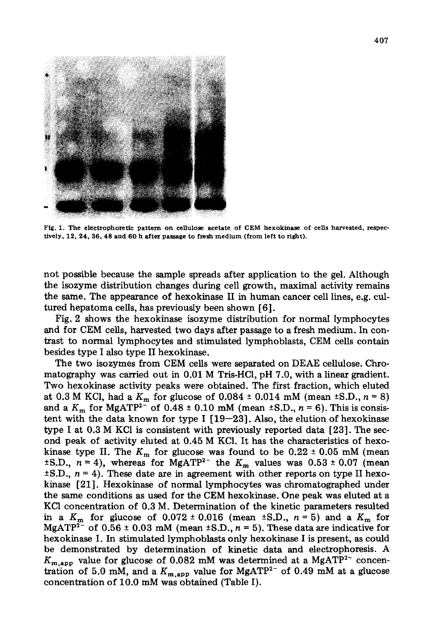

Fig. I. **The electrophoretie pattern on cellulose acetate of CEM hexokinase of cells harvested,** respectively, 12, 24, 36, 48 and 60 h after passage to fresh medium (from left to right).

not possible because the sample spreads after application to the gel. Although the isozyme distribution changes during cell growth, maximal activity remains the same. The appearance of hexokinase II in human cancer cell lines, e.g. cultured hepatoma cells, has previously been shown [6].

Fig. 2 shows the hexokinase isozyme distribution for normal lymphocytes and for CEM cells, harvested two days after passage to a fresh medium. In contrast to normal lymphocytes and stimulated lymphoblasts, CEM cells contain besides type I also type II hexokinase.

The two isozymes from CEM cells were separated on DEAE cellulose. Chromatography was carried out in 0.01 M Tris-HC1, pH 7.0, with a linear gradient. Two hexokinase activity peaks were obtained. The first fraction, which eluted at 0.3 M KCl, had a  $K_m$  for glucose of 0.084  $\pm$  0.014 mM (mean  $\pm$ S.D.,  $n = 8$ ) and a  $K_{\text{m}}$  for MgATP<sup>2-</sup> of 0.48 ± 0.10 mM (mean ±S.D.,  $n = 6$ ). This is consistent with the data known for type I  $[19-23]$ . Also, the elution of hexokinase type I at 0.3 M KC1 is consistent with previously reported data [23]. The second peak of activity eluted at 0.45 M KC1. It has the characteristics of hexokinase type II. The  $K_m$  for glucose was found to be 0.22  $\pm$  0.05 mM (mean  $\pm$ S.D.,  $n = 4$ ), whereas for MgATP<sup>2-</sup> the K<sub>m</sub> values was 0.53  $\pm$  0.07 (mean  $\pm$ S.D.,  $n = 4$ ). These date are in agreement with other reports on type II hexokinase [21]. Hexokinase of normal lymphocytes was chromatographed under the same conditions as used for the CEM hexokinase. One peak was eluted at a KCl concentration of 0.3 M. Determination of the kinetic parameters resulted in a  $K_m$  for glucose of 0.072 ± 0.016 (mean ±S.D.,  $n = 5$ ) and a  $K_m$  for MgATP<sup>2-</sup> of 0.56  $\pm$  0.03 mM (mean  $\pm$ S.D., n = 5). These data are indicative for hexokinase I. In stimulated lymphoblasts only hexokinase I is present, as could be demonstrated by determination of kinetic data and electrophoresis. A  $K_{m,app}$  value for glucose of 0.082 mM was determined at a MgATP<sup>2-</sup> concentration of 5.0 mM, and a  $K_{\text{m,app}}$  value for MgATP<sup>2-</sup> of 0.49 mM at a glucose concentration of I0.0 mM was obtained (Table I).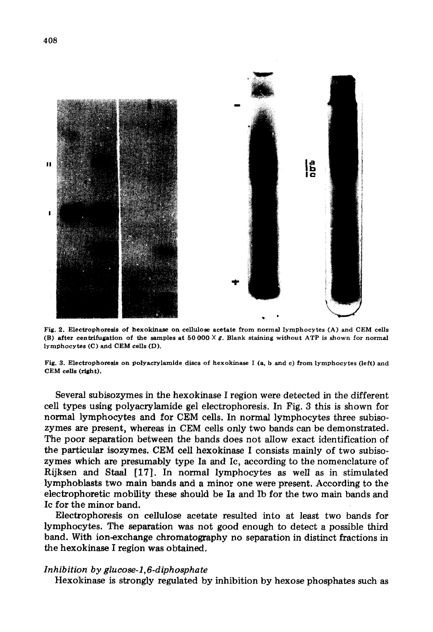

Fig. 2. Electrophoresis of hexokinase on cellulose acetate from normal lymphocytes (A) and CEM cells (B) after centrifugation of the samples at 50 000  $\times$  g. Blank staining without ATP is shown for normal lymphocytes (C) and CEM cells (D).

Fig. 3. Electrophoresis on polyacrylamide discs of hexokinase I (a, b and c) from lymphocytes (left) and CEM ceils (right).

Several subisozymes in the hexokinase I region were detected in the different cell types using polyacrylamide gel electrophoresis. In Fig. 3 this is shown for normal lymphocytes and for CEM cells. In normal lymphocytes three subisozymes are present, whereas in CEM cells only two bands can be demonstrated. The poor separation between the bands does not allow exact identification of the particular isozymes. CEM cell hexokinase I consists mainly of two subisozymes which are presumably type Ia and Ic, according to the nomenclature of Rijksen and Staal [17]. In normal lymphocytes as well as in stimulated lymphoblasts two main bands and a minor one were present. According to the electrophoretic mobility these should be Ia and Ib for the two main bands and Ic for the minor band.

Electrophoresis on cellulose acetate resulted into at least two bands for lymphocytes. The separation was not good enough to detect a possible third band. With ion-exchange chromatography no separation in distinct fractions in the hexokinase I region was obtained.

#### *Inhibition by glucose-I, 6-diphosphate*

Hexokinase is strongly regulated by inhibition by hexose phosphates such as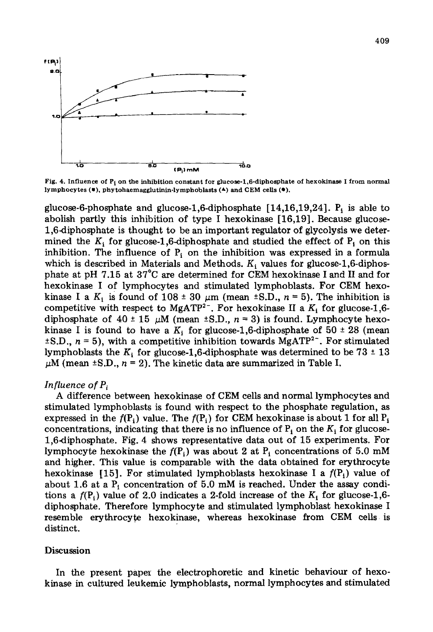

Fig. 4. Influence of P<sub>i</sub> on the inhibition constant for glucose-1,6-diphosphate of hexokinase I from normal lymphocytes  $(*)$ , phytohaemagglutinin-lymphoblasts  $(*)$  and CEM cells  $(*)$ .

glucose-6-phosphate and glucose-1,6-diphosphate  $[14,16,19,24]$ . P<sub>i</sub> is able to abolish partly this inhibition of type I hexokinase [16,19]. Because glucose-1,6-diphosphate is thought to be an important regulator of glycolysis we determined the  $K_i$  for glucose-1,6-diphosphate and studied the effect of  $P_i$  on this inhibition. The influence of  $P_i$  on the inhibition was expressed in a formula which is described in Materials and Methods.  $K_i$  values for glucose-1,6-diphosphate at pH 7.15 at 37°C are determined for CEM hexokinase I and II and for hexokinase I of lymphocytes and stimulated lymphoblasts. For CEM hexokinase I a  $K_i$  is found of 108  $\pm$  30  $\mu$ m (mean  $\pm$ S.D., n = 5). The inhibition is competitive with respect to MgATP<sup>2-</sup>. For hexokinase II a  $K_i$  for glucose-1,6diphosphate of  $40 \pm 15$   $\mu$ M (mean  $\pm$ S.D.,  $n = 3$ ) is found. Lymphocyte hexokinase I is found to have a  $K_i$  for glucose-1,6-diphosphate of 50  $\pm$  28 (mean  $\pm$ S.D.,  $n = 5$ ), with a competitive inhibition towards MgATP<sup>2-</sup>. For stimulated lymphoblasts the  $K_i$  for glucose-1,6-diphosphate was determined to be 73  $\pm$  13  $\mu$ M (mean ±S.D.,  $n = 2$ ). The kinetic data are summarized in Table I.

## *Influence of P<sub>i</sub>*

A difference between hexokinase of CEM cells and normal lymphocytes and stimulated lymphoblasts is found with respect to the phosphate regulation, as expressed in the  $f(P_i)$  value. The  $f(P_i)$  for CEM hexokinase is about 1 for all  $P_i$ concentrations, indicating that there is no influence of  $P_i$  on the  $K_i$  for glucose-1,6-diphosphate. Fig. 4 shows representative data out of 15 experiments. For lymphocyte hexokinase the  $f(P_i)$  was about 2 at  $P_i$  concentrations of 5.0 mM and higher. This value is comparable with the data obtained for erythrocyte hexokinase [15]. For stimulated lymphoblasts hexokinase I a  $f(P_i)$  value of about 1.6 at a  $P_i$  concentration of 5.0 mM is reached. Under the assay conditions a  $f(P_1)$  value of 2.0 indicates a 2-fold increase of the  $K_i$  for glucose-1,6diphosphate. Therefore lymphocyte and stimulated lymphoblast hexokinase I resemble erythrocyte hexokinase, whereas hexokinase from CEM cells is distinct.

### **Discussion**

In the present paper the electrophoretic and kinetic behaviour of hexokinase in cultured leukemic lymphoblasts, normal lymphocytes and stimulated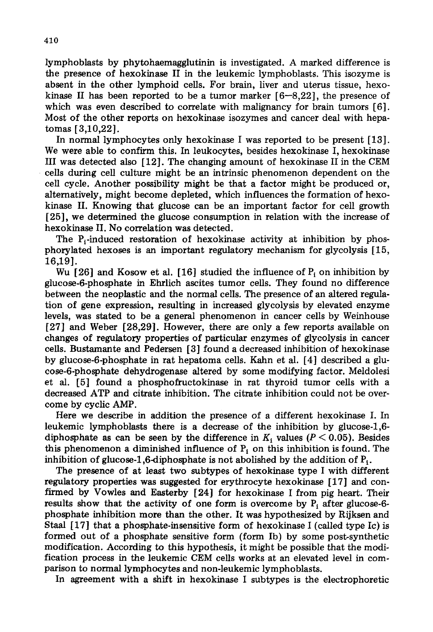lymphoblasts by phytohaemagglutinin is investigated. A marked difference is the presence of hexokinase II in the leukemic lymphoblasts. This isozyme is absent in the other lymphoid cells. For brain, liver and uterus tissue, hexokinase II has been reported to be a tumor marker  $[6-8.22]$ , the presence of which was even described to correlate with malignancy for brain tumors [6]. Most of the other reports on hexokinase isozymes and cancer deal with hepatomas [3,10,22].

In normal lymphocytes only hexokinase I was reported to be present [13]. We were able to confirm this. In leukocytes, besides hexokinase I, hexokinase III was detected also [12]. The changing amount of hexokinase II in the CEM cells during cell culture might be an intrinsic phenomenon dependent on the cell cycle. Another possibility might be that a factor might be produced or, alternatively, might become depleted, which influences the formation of hexokinase II. Knowing that glucose can be an important factor for cell growth [25], we determined the glucose consumption in relation with the increase of hexokinase II. No correlation was detected.

The  $P_i$ -induced restoration of hexokinase activity at inhibition by phosphorylated hexoses is an important regulatory mechanism for glycolysis [15, 16,19].

Wu [26] and Kosow et al. [16] studied the influence of  $P_i$  on inhibition by glucose-6-phosphate in Ehrlich ascites tumor cells. They found no difference between the neoplastic and the normal cells. The presence of an altered regulation of gene expression, resulting in increased glycolysis by elevated enzyme levels, was stated to be a general phenomenon in cancer cells by Weinhouse [27] and Weber [28,29]. However, there are only a few reports available on changes of regulatory properties of particular enzymes of glycolysis in cancer cells. Bustamante and Pedersen [3] found a decreased inhibition of hexokinase by glucose-6-phosphate in rat hepatoma cells. Kahn et al. [4] described a glucose-6-phosphate dehydrogenase altered by some modifying factor. Meldolesi et al. [5] found a phosphofructokinase in rat thyroid tumor cells with a decreased ATP and citrate inhibition. The citrate inhibition could not be overcome by cyclic AMP.

Here we describe in addition the presence of a different hexokinase I. In leukemic lymphoblasts there is a decrease of the inhibition by glucose-l,6 diphosphate as can be seen by the difference in  $K_i$  values ( $P < 0.05$ ). Besides this phenomenon a diminished influence of  $P_i$  on this inhibition is found. The inhibition of glucose-1,6-diphosphate is not abolished by the addition of  $P_i$ .

The presence of at least two subtypes of hexokinase type I with different regulatory properties was suggested for erythrocyte hexokinase [17] and confirmed by Vowles and Easterby [24] for hexokinase I from pig heart. Their results show that the activity of one form is overcome by  $P_i$  after glucose-6phosphate inhibition more than the other. It was hypothesized by Rijksen and Staal [17] that a phosphate-insensitive form of hexokinase I (called type Ic) is formed out of a phosphate sensitive form (form Ib) by some post-synthetic modification. According to this hypothesis, it might be possible that the modification process in the leukemic CEM cells works at an elevated level in comparison to normal lymphocytes and non-leukemic lymphoblasts.

In agreement with a shift in hexokinase I subtypes is the electrophoretic